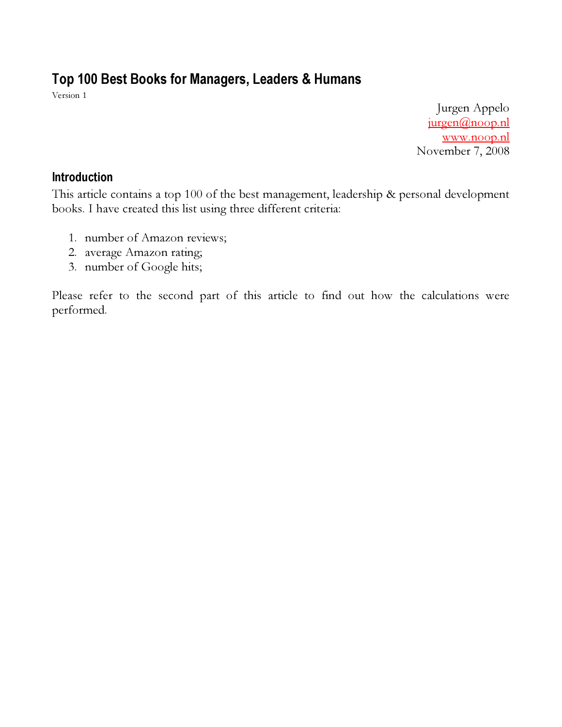# Top 100 Best Books for Managers, Leaders & Humans

Version 1

Jurgen Appelo jurgen@noop.nl www.noop.nl November 7, 2008

#### Introduction

This article contains a top 100 of the best management, leadership & personal development books. I have created this list using three different criteria:

- 1. number of Amazon reviews;
- 2. average Amazon rating;
- 3. number of Google hits;

Please refer to the second part of this article to find out how the calculations were performed.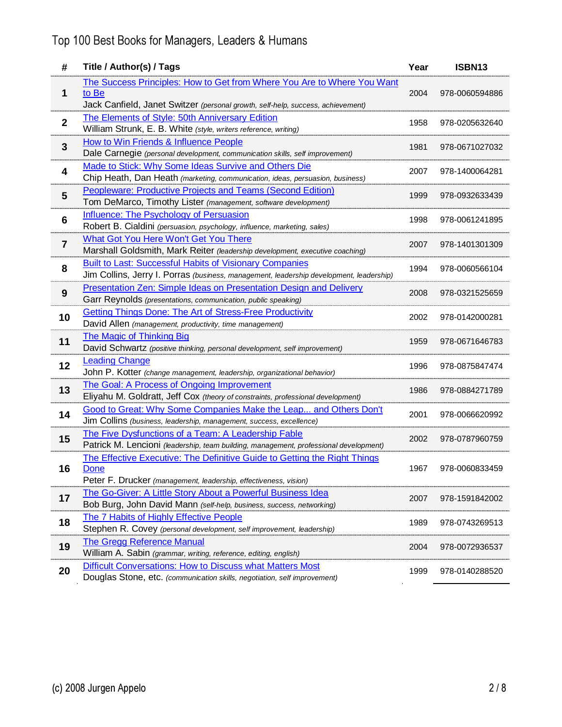| #                       | Title / Author(s) / Tags                                                                                                                                            | Year | ISBN13         |
|-------------------------|---------------------------------------------------------------------------------------------------------------------------------------------------------------------|------|----------------|
| 1                       | The Success Principles: How to Get from Where You Are to Where You Want<br>to Be<br>Jack Canfield, Janet Switzer (personal growth, self-help, success, achievement) | 2004 | 978-0060594886 |
| $\overline{\mathbf{2}}$ | <b>The Elements of Style: 50th Anniversary Edition</b><br>William Strunk, E. B. White (style, writers reference, writing)                                           | 1958 | 978-0205632640 |
| 3                       | How to Win Friends & Influence People<br>Dale Carnegie (personal development, communication skills, self improvement)                                               | 1981 | 978-0671027032 |
| 4                       | Made to Stick: Why Some Ideas Survive and Others Die<br>Chip Heath, Dan Heath (marketing, communication, ideas, persuasion, business)                               | 2007 | 978-1400064281 |
| 5                       | Peopleware: Productive Projects and Teams (Second Edition)<br>Tom DeMarco, Timothy Lister (management, software development)                                        | 1999 | 978-0932633439 |
| 6                       | <b>Influence: The Psychology of Persuasion</b><br>Robert B. Cialdini (persuasion, psychology, influence, marketing, sales)                                          | 1998 | 978-0061241895 |
| $\overline{\mathbf{7}}$ | What Got You Here Won't Get You There<br>Marshall Goldsmith, Mark Reiter (leadership development, executive coaching)                                               | 2007 | 978-1401301309 |
| 8                       | Built to Last: Successful Habits of Visionary Companies<br>Jim Collins, Jerry I. Porras (business, management, leadership development, leadership)                  | 1994 | 978-0060566104 |
| 9                       | Presentation Zen: Simple Ideas on Presentation Design and Delivery<br>Garr Reynolds (presentations, communication, public speaking)                                 | 2008 | 978-0321525659 |
| 10                      | <b>Getting Things Done: The Art of Stress-Free Productivity</b><br>David Allen (management, productivity, time management)                                          | 2002 | 978-0142000281 |
| 11                      | <b>The Magic of Thinking Big</b><br>David Schwartz (positive thinking, personal development, self improvement)                                                      | 1959 | 978-0671646783 |
| 12                      | <b>Leading Change</b><br>John P. Kotter (change management, leadership, organizational behavior)                                                                    | 1996 | 978-0875847474 |
| 13                      | <b>The Goal: A Process of Ongoing Improvement</b><br>Eliyahu M. Goldratt, Jeff Cox (theory of constraints, professional development)                                | 1986 | 978-0884271789 |
| 14                      | Good to Great: Why Some Companies Make the Leap and Others Don't<br>Jim Collins (business, leadership, management, success, excellence)                             | 2001 | 978-0066620992 |
| 15                      | The Five Dysfunctions of a Team: A Leadership Fable<br>Patrick M. Lencioni (leadership, team building, management, professional development)                        | 2002 | 978-0787960759 |
| 16                      | The Effective Executive: The Definitive Guide to Getting the Right Things<br><b>Done</b><br>Peter F. Drucker (management, leadership, effectiveness, vision)        | 1967 | 978-0060833459 |
| 17                      | The Go-Giver: A Little Story About a Powerful Business Idea<br>Bob Burg, John David Mann (self-help, business, success, networking)                                 | 2007 | 978-1591842002 |
| 18                      | The 7 Habits of Highly Effective People<br>Stephen R. Covey (personal development, self improvement, leadership)                                                    | 1989 | 978-0743269513 |
| 19                      | <b>The Gregg Reference Manual</b><br>William A. Sabin (grammar, writing, reference, editing, english)                                                               | 2004 | 978-0072936537 |
| 20                      | Difficult Conversations: How to Discuss what Matters Most<br>Douglas Stone, etc. (communication skills, negotiation, self improvement)                              | 1999 | 978-0140288520 |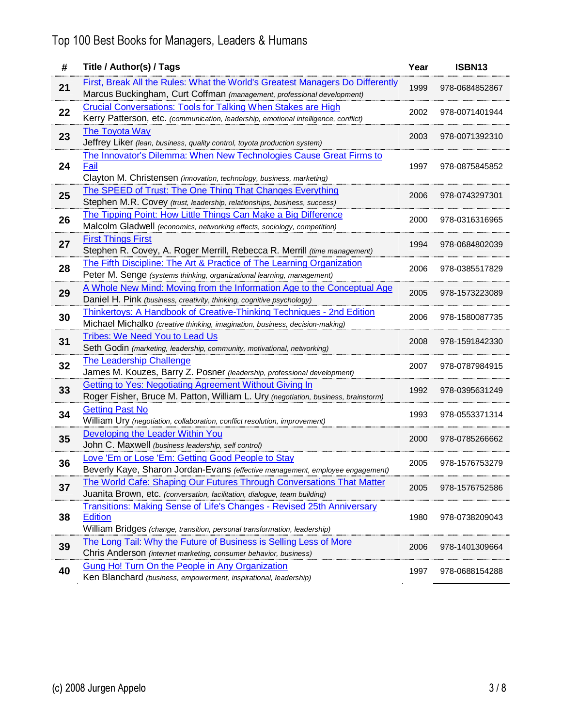| #  | Title / Author(s) / Tags                                                                                                                                                     | Year | ISBN13         |
|----|------------------------------------------------------------------------------------------------------------------------------------------------------------------------------|------|----------------|
| 21 | <b>First, Break All the Rules: What the World's Greatest Managers Do Differently</b><br>Marcus Buckingham, Curt Coffman (management, professional development)               | 1999 | 978-0684852867 |
| 22 | <b>Crucial Conversations: Tools for Talking When Stakes are High</b><br>Kerry Patterson, etc. (communication, leadership, emotional intelligence, conflict)                  | 2002 | 978-0071401944 |
| 23 | The Toyota Way<br>Jeffrey Liker (lean, business, quality control, toyota production system)                                                                                  | 2003 | 978-0071392310 |
| 24 | The Innovator's Dilemma: When New Technologies Cause Great Firms to<br>Fail<br>Clayton M. Christensen (innovation, technology, business, marketing)                          | 1997 | 978-0875845852 |
| 25 | The SPEED of Trust: The One Thing That Changes Everything<br>Stephen M.R. Covey (trust, leadership, relationships, business, success)                                        | 2006 | 978-0743297301 |
| 26 | The Tipping Point: How Little Things Can Make a Big Difference<br>Malcolm Gladwell (economics, networking effects, sociology, competition)                                   | 2000 | 978-0316316965 |
| 27 | <b>First Things First</b><br>Stephen R. Covey, A. Roger Merrill, Rebecca R. Merrill (time management)                                                                        | 1994 | 978-0684802039 |
| 28 | The Fifth Discipline: The Art & Practice of The Learning Organization<br>Peter M. Senge (systems thinking, organizational learning, management)                              | 2006 | 978-0385517829 |
| 29 | A Whole New Mind: Moving from the Information Age to the Conceptual Age<br>Daniel H. Pink (business, creativity, thinking, cognitive psychology)                             | 2005 | 978-1573223089 |
| 30 | <b>Thinkertoys: A Handbook of Creative-Thinking Techniques - 2nd Edition</b><br>Michael Michalko (creative thinking, imagination, business, decision-making)                 | 2006 | 978-1580087735 |
| 31 | <b>Tribes: We Need You to Lead Us</b><br>Seth Godin (marketing, leadership, community, motivational, networking)                                                             | 2008 | 978-1591842330 |
| 32 | <b>The Leadership Challenge</b><br>James M. Kouzes, Barry Z. Posner (leadership, professional development)                                                                   | 2007 | 978-0787984915 |
| 33 | <b>Getting to Yes: Negotiating Agreement Without Giving In</b><br>Roger Fisher, Bruce M. Patton, William L. Ury (negotiation, business, brainstorm)                          | 1992 | 978-0395631249 |
| 34 | <b>Getting Past No</b><br>William Ury (negotiation, collaboration, conflict resolution, improvement)                                                                         | 1993 | 978-0553371314 |
| 35 | Developing the Leader Within You<br>John C. Maxwell (business leadership, self control)                                                                                      | 2000 | 978-0785266662 |
| 36 | Love 'Em or Lose 'Em: Getting Good People to Stay<br>Beverly Kaye, Sharon Jordan-Evans (effective management, employee engagement)                                           | 2005 | 978-1576753279 |
| 37 | The World Cafe: Shaping Our Futures Through Conversations That Matter<br>Juanita Brown, etc. (conversation, facilitation, dialogue, team building)                           | 2005 | 978-1576752586 |
| 38 | <b>Transitions: Making Sense of Life's Changes - Revised 25th Anniversary</b><br><b>Edition</b><br>William Bridges (change, transition, personal transformation, leadership) | 1980 | 978-0738209043 |
| 39 | The Long Tail: Why the Future of Business is Selling Less of More<br>Chris Anderson (internet marketing, consumer behavior, business)                                        | 2006 | 978-1401309664 |
| 40 | Gung Ho! Turn On the People in Any Organization<br>Ken Blanchard (business, empowerment, inspirational, leadership)                                                          | 1997 | 978-0688154288 |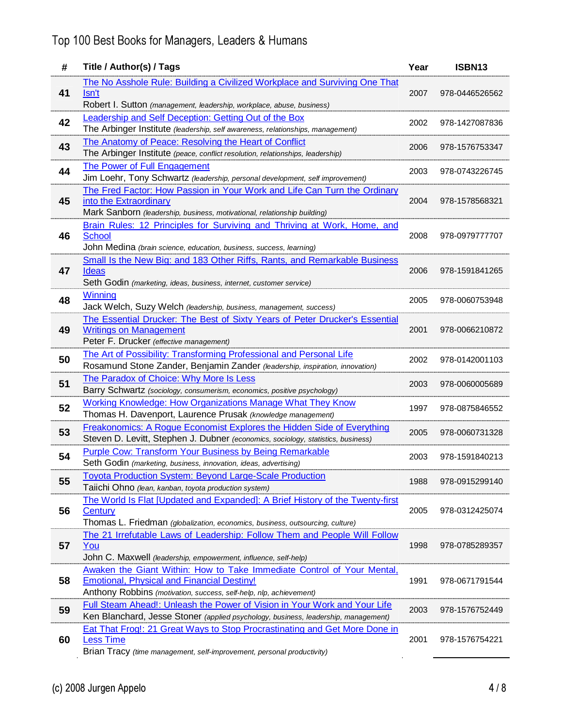| #  | Title / Author(s) / Tags                                                                                                                                                                          | Year | ISBN13         |
|----|---------------------------------------------------------------------------------------------------------------------------------------------------------------------------------------------------|------|----------------|
| 41 | The No Asshole Rule: Building a Civilized Workplace and Surviving One That<br>Isn't<br>Robert I. Sutton (management, leadership, workplace, abuse, business)                                      | 2007 | 978-0446526562 |
| 42 | <b>Leadership and Self Deception: Getting Out of the Box</b><br>The Arbinger Institute (leadership, self awareness, relationships, management)                                                    | 2002 | 978-1427087836 |
| 43 | The Anatomy of Peace: Resolving the Heart of Conflict<br>The Arbinger Institute (peace, conflict resolution, relationships, leadership)                                                           | 2006 | 978-1576753347 |
| 44 | The Power of Full Engagement<br>Jim Loehr, Tony Schwartz (leadership, personal development, self improvement)                                                                                     | 2003 | 978-0743226745 |
| 45 | The Fred Factor: How Passion in Your Work and Life Can Turn the Ordinary<br>into the Extraordinary<br>Mark Sanborn (leadership, business, motivational, relationship building)                    | 2004 | 978-1578568321 |
| 46 | Brain Rules: 12 Principles for Surviving and Thriving at Work, Home, and<br>School<br>John Medina (brain science, education, business, success, learning)                                         | 2008 | 978-0979777707 |
| 47 | Small Is the New Big: and 183 Other Riffs, Rants, and Remarkable Business<br><b>Ideas</b><br>Seth Godin (marketing, ideas, business, internet, customer service)                                  | 2006 | 978-1591841265 |
| 48 | <b>Winning</b><br>Jack Welch, Suzy Welch (leadership, business, management, success)                                                                                                              | 2005 | 978-0060753948 |
| 49 | The Essential Drucker: The Best of Sixty Years of Peter Drucker's Essential<br><b>Writings on Management</b><br>Peter F. Drucker (effective management)                                           | 2001 | 978-0066210872 |
| 50 | The Art of Possibility: Transforming Professional and Personal Life<br>Rosamund Stone Zander, Benjamin Zander (leadership, inspiration, innovation)                                               | 2002 | 978-0142001103 |
| 51 | The Paradox of Choice: Why More Is Less<br>Barry Schwartz (sociology, consumerism, economics, positive psychology)                                                                                | 2003 | 978-0060005689 |
| 52 | <b>Working Knowledge: How Organizations Manage What They Know</b><br>Thomas H. Davenport, Laurence Prusak (knowledge management)                                                                  | 1997 | 978-0875846552 |
| 53 | Freakonomics: A Rogue Economist Explores the Hidden Side of Everything<br>Steven D. Levitt, Stephen J. Dubner (economics, sociology, statistics, business)                                        | 2005 | 978-0060731328 |
| 54 | <b>Purple Cow: Transform Your Business by Being Remarkable</b><br>Seth Godin (marketing, business, innovation, ideas, advertising)                                                                | 2003 | 978-1591840213 |
| 55 | <b>Toyota Production System: Beyond Large-Scale Production</b><br>Taiichi Ohno (lean, kanban, toyota production system)                                                                           | 1988 | 978-0915299140 |
| 56 | The World Is Flat [Updated and Expanded]: A Brief History of the Twenty-first<br>Century<br>Thomas L. Friedman (globalization, economics, business, outsourcing, culture)                         | 2005 | 978-0312425074 |
| 57 | The 21 Irrefutable Laws of Leadership: Follow Them and People Will Follow<br>You<br>John C. Maxwell (leadership, empowerment, influence, self-help)                                               | 1998 | 978-0785289357 |
| 58 | Awaken the Giant Within: How to Take Immediate Control of Your Mental,<br><b>Emotional, Physical and Financial Destiny!</b><br>Anthony Robbins (motivation, success, self-help, nlp, achievement) | 1991 | 978-0671791544 |
| 59 | Full Steam Ahead!: Unleash the Power of Vision in Your Work and Your Life<br>Ken Blanchard, Jesse Stoner (applied psychology, business, leadership, management)                                   | 2003 | 978-1576752449 |
| 60 | Eat That Frog!: 21 Great Ways to Stop Procrastinating and Get More Done in<br><b>Less Time</b><br>Brian Tracy (time management, self-improvement, personal productivity)                          | 2001 | 978-1576754221 |
|    |                                                                                                                                                                                                   |      |                |
|    | (c) 2008 Jurgen Appelo                                                                                                                                                                            |      | 4/8            |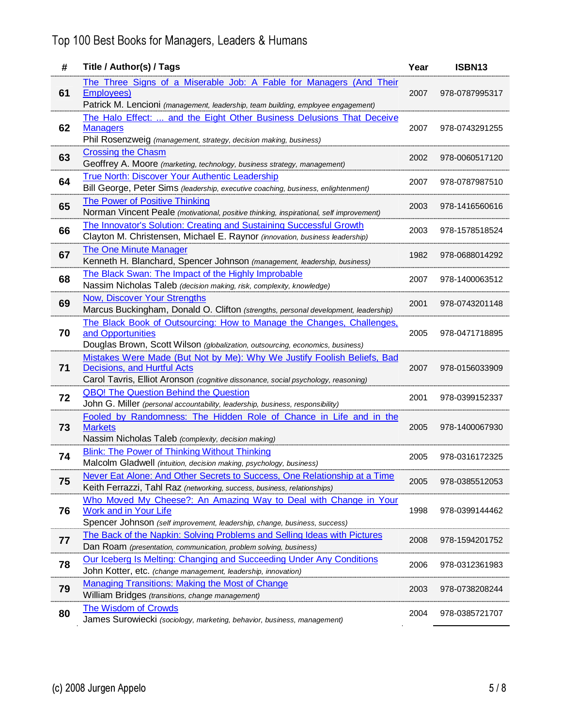| #  | Title / Author(s) / Tags                                                                                                                                                                    | Year | ISBN <sub>13</sub> |
|----|---------------------------------------------------------------------------------------------------------------------------------------------------------------------------------------------|------|--------------------|
| 61 | The Three Signs of a Miserable Job: A Fable for Managers (And Their<br><b>Employees)</b><br>Patrick M. Lencioni (management, leadership, team building, employee engagement)                | 2007 | 978-0787995317     |
| 62 | The Halo Effect:  and the Eight Other Business Delusions That Deceive<br><b>Managers</b><br>Phil Rosenzweig (management, strategy, decision making, business)                               | 2007 | 978-0743291255     |
| 63 | <b>Crossing the Chasm</b><br>Geoffrey A. Moore (marketing, technology, business strategy, management)                                                                                       | 2002 | 978-0060517120     |
| 64 | True North: Discover Your Authentic Leadership<br>Bill George, Peter Sims (leadership, executive coaching, business, enlightenment)                                                         | 2007 | 978-0787987510     |
| 65 | The Power of Positive Thinking<br>Norman Vincent Peale (motivational, positive thinking, inspirational, self improvement)                                                                   | 2003 | 978-1416560616     |
| 66 | The Innovator's Solution: Creating and Sustaining Successful Growth<br>Clayton M. Christensen, Michael E. Raynor (innovation, business leadership)                                          | 2003 | 978-1578518524     |
| 67 | <b>The One Minute Manager</b><br>Kenneth H. Blanchard, Spencer Johnson (management, leadership, business)                                                                                   | 1982 | 978-0688014292     |
| 68 | The Black Swan: The Impact of the Highly Improbable<br>Nassim Nicholas Taleb (decision making, risk, complexity, knowledge)                                                                 | 2007 | 978-1400063512     |
| 69 | <b>Now, Discover Your Strengths</b><br>Marcus Buckingham, Donald O. Clifton (strengths, personal development, leadership)                                                                   | 2001 | 978-0743201148     |
| 70 | The Black Book of Outsourcing: How to Manage the Changes, Challenges,<br>and Opportunities<br>Douglas Brown, Scott Wilson (globalization, outsourcing, economics, business)                 | 2005 | 978-0471718895     |
| 71 | Mistakes Were Made (But Not by Me): Why We Justify Foolish Beliefs, Bad<br>Decisions, and Hurtful Acts<br>Carol Tavris, Elliot Aronson (cognitive dissonance, social psychology, reasoning) | 2007 | 978-0156033909     |
| 72 | <b>QBQ! The Question Behind the Question</b><br>John G. Miller (personal accountability, leadership, business, responsibility)                                                              | 2001 | 978-0399152337     |
| 73 | Fooled by Randomness: The Hidden Role of Chance in Life and in the<br><b>Markets</b><br>Nassim Nicholas Taleb (complexity, decision making)                                                 | 2005 | 978-1400067930     |
| 74 | <b>Blink: The Power of Thinking Without Thinking</b><br>Malcolm Gladwell (intuition, decision making, psychology, business)                                                                 | 2005 | 978-0316172325     |
| 75 | Never Eat Alone: And Other Secrets to Success, One Relationship at a Time<br>Keith Ferrazzi, Tahl Raz (networking, success, business, relationships)                                        | 2005 | 978-0385512053     |
| 76 | Who Moved My Cheese?: An Amazing Way to Deal with Change in Your<br><b>Work and in Your Life</b><br>Spencer Johnson (self improvement, leadership, change, business, success)               | 1998 | 978-0399144462     |
| 77 | The Back of the Napkin: Solving Problems and Selling Ideas with Pictures<br>Dan Roam (presentation, communication, problem solving, business)                                               | 2008 | 978-1594201752     |
| 78 | Our Iceberg Is Melting: Changing and Succeeding Under Any Conditions<br>John Kotter, etc. (change management, leadership, innovation)                                                       | 2006 | 978-0312361983     |
| 79 | Managing Transitions: Making the Most of Change<br>William Bridges (transitions, change management)                                                                                         | 2003 | 978-0738208244     |
| 80 | The Wisdom of Crowds<br>James Surowiecki (sociology, marketing, behavior, business, management)                                                                                             | 2004 | 978-0385721707     |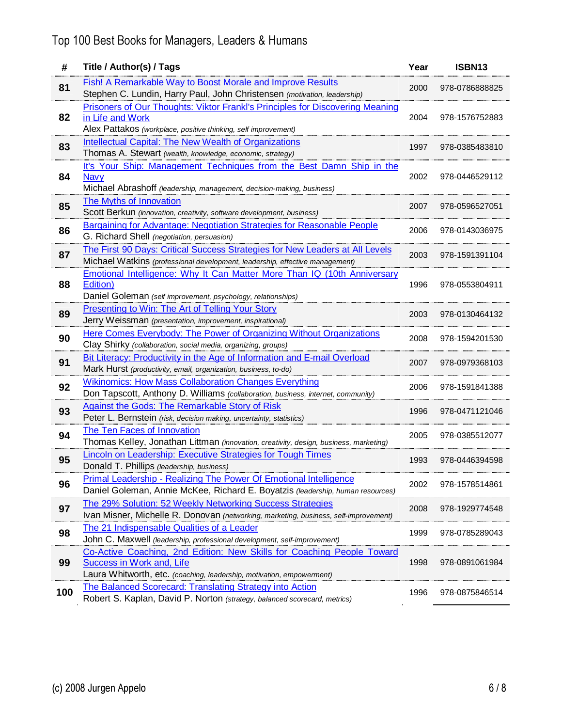| #   | Title / Author(s) / Tags                                                                                                   | Year | ISBN13         |
|-----|----------------------------------------------------------------------------------------------------------------------------|------|----------------|
| 81  | <b>Fish! A Remarkable Way to Boost Morale and Improve Results</b>                                                          | 2000 | 978-0786888825 |
|     | Stephen C. Lundin, Harry Paul, John Christensen (motivation, leadership)                                                   |      |                |
| 82  | Prisoners of Our Thoughts: Viktor Frankl's Principles for Discovering Meaning<br>in Life and Work                          | 2004 | 978-1576752883 |
|     | Alex Pattakos (workplace, positive thinking, self improvement)                                                             |      |                |
|     | <b>Intellectual Capital: The New Wealth of Organizations</b>                                                               |      |                |
| 83  | Thomas A. Stewart (wealth, knowledge, economic, strategy)                                                                  | 1997 | 978-0385483810 |
|     | It's Your Ship: Management Techniques from the Best Damn Ship in the                                                       |      |                |
| 84  | <b>Navy</b>                                                                                                                | 2002 | 978-0446529112 |
|     | Michael Abrashoff (leadership, management, decision-making, business)                                                      |      |                |
| 85  | The Myths of Innovation                                                                                                    | 2007 | 978-0596527051 |
|     | Scott Berkun (innovation, creativity, software development, business)                                                      |      |                |
| 86  | <b>Bargaining for Advantage: Negotiation Strategies for Reasonable People</b>                                              | 2006 | 978-0143036975 |
|     | G. Richard Shell (negotiation, persuasion)<br>The First 90 Days: Critical Success Strategies for New Leaders at All Levels |      |                |
| 87  | Michael Watkins (professional development, leadership, effective management)                                               | 2003 | 978-1591391104 |
|     | Emotional Intelligence: Why It Can Matter More Than IQ (10th Anniversary                                                   |      |                |
| 88  | Edition)                                                                                                                   | 1996 | 978-0553804911 |
|     | Daniel Goleman (self improvement, psychology, relationships)                                                               |      |                |
| 89  | Presenting to Win: The Art of Telling Your Story                                                                           | 2003 | 978-0130464132 |
|     | Jerry Weissman (presentation, improvement, inspirational)                                                                  |      |                |
| 90  | Here Comes Everybody: The Power of Organizing Without Organizations                                                        | 2008 | 978-1594201530 |
|     | Clay Shirky (collaboration, social media, organizing, groups)                                                              |      |                |
| 91  | Bit Literacy: Productivity in the Age of Information and E-mail Overload                                                   | 2007 | 978-0979368103 |
|     | Mark Hurst (productivity, email, organization, business, to-do)                                                            |      |                |
| 92  | <b>Wikinomics: How Mass Collaboration Changes Everything</b>                                                               | 2006 | 978-1591841388 |
|     | Don Tapscott, Anthony D. Williams (collaboration, business, internet, community)                                           |      |                |
| 93  | Against the Gods: The Remarkable Story of Risk<br>Peter L. Bernstein (risk, decision making, uncertainty, statistics)      | 1996 | 978-0471121046 |
|     | The Ten Faces of Innovation                                                                                                |      |                |
| 94  | Thomas Kelley, Jonathan Littman (innovation, creativity, design, business, marketing)                                      | 2005 | 978-0385512077 |
|     | Lincoln on Leadership: Executive Strategies for Tough Times                                                                |      |                |
| 95  | Donald T. Phillips (leadership, business)                                                                                  | 1993 | 978-0446394598 |
|     | <b>Primal Leadership - Realizing The Power Of Emotional Intelligence</b>                                                   |      | 978-1578514861 |
| 96  | Daniel Goleman, Annie McKee, Richard E. Boyatzis (leadership, human resources)                                             | 2002 |                |
| 97  | The 29% Solution: 52 Weekly Networking Success Strategies                                                                  | 2008 | 978-1929774548 |
|     | Ivan Misner, Michelle R. Donovan (networking, marketing, business, self-improvement)                                       |      |                |
| 98  | The 21 Indispensable Qualities of a Leader                                                                                 | 1999 | 978-0785289043 |
|     | John C. Maxwell (leadership, professional development, self-improvement)                                                   |      |                |
| 99  | Co-Active Coaching, 2nd Edition: New Skills for Coaching People Toward                                                     |      |                |
|     | Success in Work and, Life<br>Laura Whitworth, etc. (coaching, leadership, motivation, empowerment)                         | 1998 | 978-0891061984 |
|     | <b>The Balanced Scorecard: Translating Strategy into Action</b>                                                            |      |                |
| 100 | Robert S. Kaplan, David P. Norton (strategy, balanced scorecard, metrics)                                                  | 1996 | 978-0875846514 |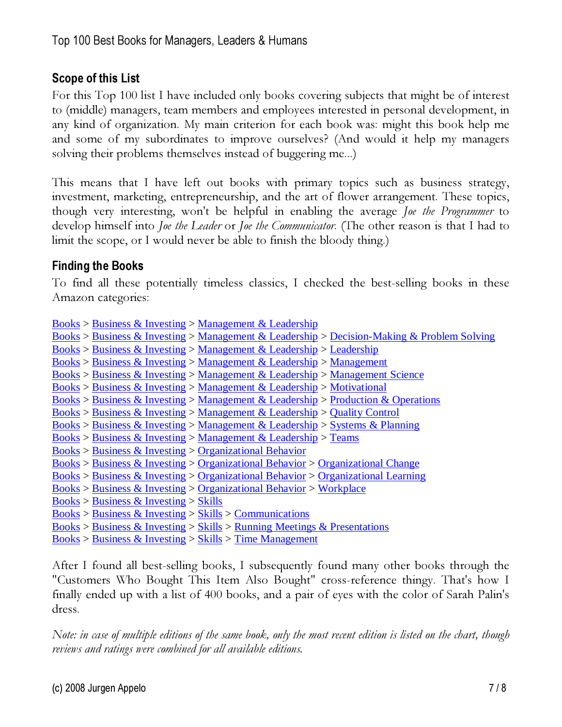### Scope of this List

For this Top 100 list I have included only books covering subjects that might be of interest to (middle) managers, team members and employees interested in personal development, in any kind of organization. My main criterion for each book was: might this book help me and some of my subordinates to improve ourselves? (And would it help my managers solving their problems themselves instead of buggering me...)

This means that I have left out books with primary topics such as business strategy, investment, marketing, entrepreneurship, and the art of flower arrangement. These topics, though very interesting, won't be helpful in enabling the average Joe the Programmer to develop himself into *Joe the Leader* or *Joe the Communicator*. (The other reason is that I had to limit the scope, or I would never be able to finish the bloody thing.)

#### Finding the Books

To find all these potentially timeless classics, I checked the best-selling books in these Amazon categories:

| Books > Business & Investing > Management & Leadership                                                                                                                                                                                                                                                                                                     |
|------------------------------------------------------------------------------------------------------------------------------------------------------------------------------------------------------------------------------------------------------------------------------------------------------------------------------------------------------------|
| <u>Books &gt; Business &amp; Investing &gt; Management &amp; Leadership &gt; Decision-Making &amp; Problem Solving</u>                                                                                                                                                                                                                                     |
| Books > Business & Investing > Management & Leadership > Leadership                                                                                                                                                                                                                                                                                        |
| Books > Business & Investing > Management & Leadership > Management                                                                                                                                                                                                                                                                                        |
| Books > Business & Investing > Management & Leadership > Management Science                                                                                                                                                                                                                                                                                |
| $\frac{\text{Books}}{\text{Books}}$ > Business & Investing > Management & Leadership > Motivational                                                                                                                                                                                                                                                        |
| <u>Books</u> > <u>Business &amp; Investing</u> > <u>Management &amp; Leadership</u> > <u>Production &amp; Operations</u>                                                                                                                                                                                                                                   |
| Books > Business & Investing > Management & Leadership > Quality Control                                                                                                                                                                                                                                                                                   |
| Books > Business & Investing > Management & Leadership > Systems & Planning                                                                                                                                                                                                                                                                                |
| $\frac{\text{Books}}{\text{P}} > \frac{\text{Business} \& \text{Investing}}{\text{Management} \& \text{Leadership}} > \text{Teams}$                                                                                                                                                                                                                        |
| $Books > Business & Investig > Organizational Behavior$                                                                                                                                                                                                                                                                                                    |
| Books > Business & Investing > Organizational Behavior > Organizational Change                                                                                                                                                                                                                                                                             |
| $Books > Business & Investig> Organizational Behavior > Organizational Learning$                                                                                                                                                                                                                                                                           |
| Books > Business & Investing > Organizational Behavior > Workplace                                                                                                                                                                                                                                                                                         |
| $Books > Business & Investig > Skills$                                                                                                                                                                                                                                                                                                                     |
| $Books > Business & Investig > Skills > Communications$                                                                                                                                                                                                                                                                                                    |
| Books > Business & Investing > Skills > Running Meetings & Presentations                                                                                                                                                                                                                                                                                   |
| $\mathbf{D}_{\text{c}}$ and $\mathbf{D}_{\text{c}}$ and $\mathbf{D}_{\text{c}}$ and $\mathbf{D}_{\text{c}}$ and $\mathbf{D}_{\text{c}}$ and $\mathbf{D}_{\text{c}}$ and $\mathbf{D}_{\text{c}}$ and $\mathbf{D}_{\text{c}}$ and $\mathbf{D}_{\text{c}}$ and $\mathbf{D}_{\text{c}}$ and $\mathbf{D}_{\text{c}}$ and $\mathbf{D}_{\text{c}}$ and $\mathbf{$ |

 $\frac{\text{Books}}{\text{Business}} \geq \text{Investing} > \text{Skills} > \text{Time Management}$ 

After I found all best-selling books, I subsequently found many other books through the "Customers Who Bought This Item Also Bought" cross-reference thingy. That's how I finally ended up with a list of 400 books, and a pair of eyes with the color of Sarah Palin's dress.

Note: in case of multiple editions of the same book, only the most recent edition is listed on the chart, though reviews and ratings were combined for all available editions.